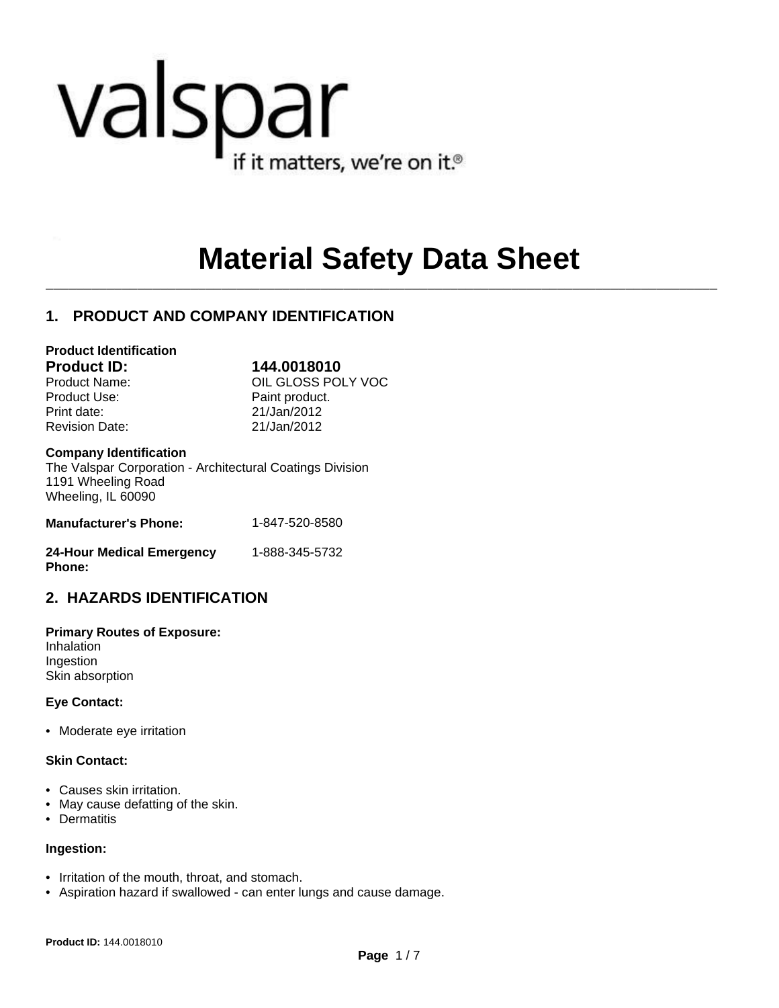# valspar if it matters, we're on it.<sup>®</sup>

## **Material Safety Data Sheet**

 $\mathcal{L}_\mathcal{L} = \mathcal{L}_\mathcal{L}$ 

### **1. PRODUCT AND COMPANY IDENTIFICATION**

#### **Product Identification**

Product Use: Product Use: Print date: 21/Jan/2012 Revision Date: 21/Jan/2012

**Product ID: 144.0018010** Product Name: <br>
OIL GLOSS POLY VOC

#### **Company Identification**

The Valspar Corporation - Architectural Coatings Division 1191 Wheeling Road Wheeling, IL 60090

| <b>Manufacturer's Phone:</b> | 1-847-520-8580 |
|------------------------------|----------------|
|                              |                |

| <b>24-Hour Medical Emergency</b> | 1-888-345-5732 |
|----------------------------------|----------------|
| <b>Phone:</b>                    |                |

### **2. HAZARDS IDENTIFICATION**

**Primary Routes of Exposure:** Inhalation Ingestion Skin absorption

#### **Eye Contact:**

• Moderate eye irritation

#### **Skin Contact:**

- Causes skin irritation.
- May cause defatting of the skin.
- Dermatitis

#### **Ingestion:**

- Irritation of the mouth, throat, and stomach.
- Aspiration hazard if swallowed can enter lungs and cause damage.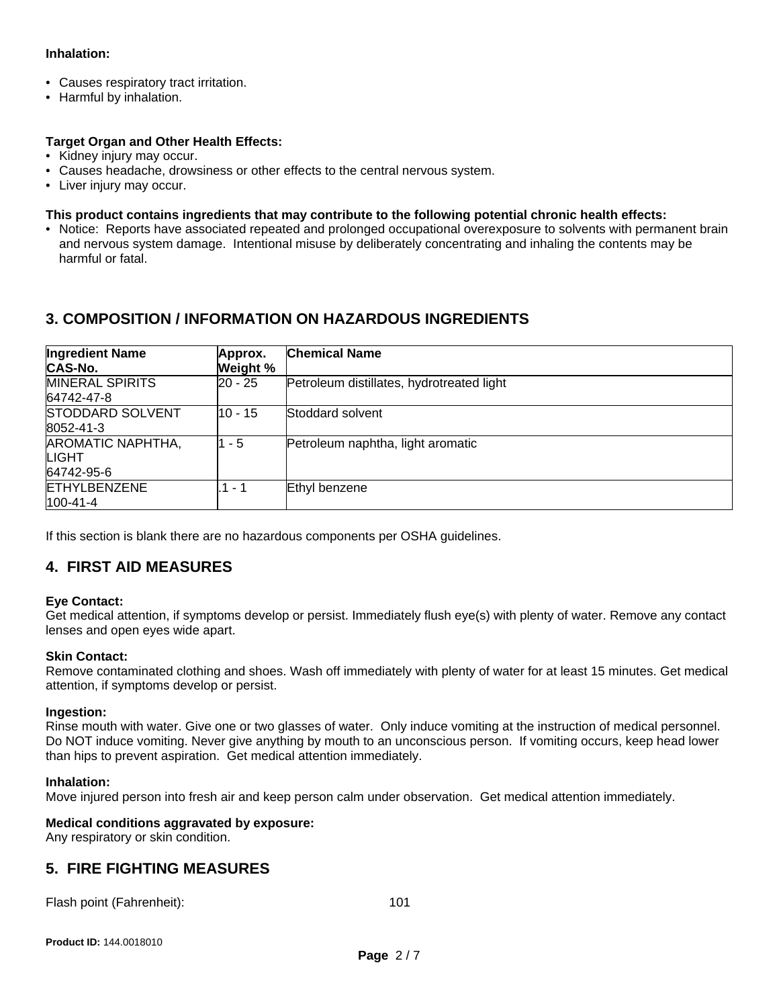#### **Inhalation:**

- Causes respiratory tract irritation.
- Harmful by inhalation.

#### **Target Organ and Other Health Effects:**

- Kidney injury may occur.
- Causes headache, drowsiness or other effects to the central nervous system.
- Liver injury may occur.

#### **This product contains ingredients that may contribute to the following potential chronic health effects:**

• Notice: Reports have associated repeated and prolonged occupational overexposure to solvents with permanent brain and nervous system damage. Intentional misuse by deliberately concentrating and inhaling the contents may be harmful or fatal.

#### **3. COMPOSITION / INFORMATION ON HAZARDOUS INGREDIENTS**

| <b>Ingredient Name</b><br>CAS-No.        | Approx.<br>Weight % | <b>Chemical Name</b>                      |
|------------------------------------------|---------------------|-------------------------------------------|
| <b>MINERAL SPIRITS</b><br>64742-47-8     | 20 - 25             | Petroleum distillates, hydrotreated light |
| <b>STODDARD SOLVENT</b><br>8052-41-3     | $10 - 15$           | Stoddard solvent                          |
| AROMATIC NAPHTHA,<br>LIGHT<br>64742-95-6 | 1 - 5               | Petroleum naphtha, light aromatic         |
| <b>ETHYLBENZENE</b><br>100-41-4          | .1 - 1              | Ethyl benzene                             |

If this section is blank there are no hazardous components per OSHA guidelines.

#### **4. FIRST AID MEASURES**

#### **Eye Contact:**

Get medical attention, if symptoms develop or persist. Immediately flush eye(s) with plenty of water. Remove any contact lenses and open eyes wide apart.

#### **Skin Contact:**

Remove contaminated clothing and shoes. Wash off immediately with plenty of water for at least 15 minutes. Get medical attention, if symptoms develop or persist.

#### **Ingestion:**

Rinse mouth with water. Give one or two glasses of water. Only induce vomiting at the instruction of medical personnel. Do NOT induce vomiting. Never give anything by mouth to an unconscious person. If vomiting occurs, keep head lower than hips to prevent aspiration. Get medical attention immediately.

#### **Inhalation:**

Move injured person into fresh air and keep person calm under observation. Get medical attention immediately.

#### **Medical conditions aggravated by exposure:**

Any respiratory or skin condition.

#### **5. FIRE FIGHTING MEASURES**

Flash point (Fahrenheit): 101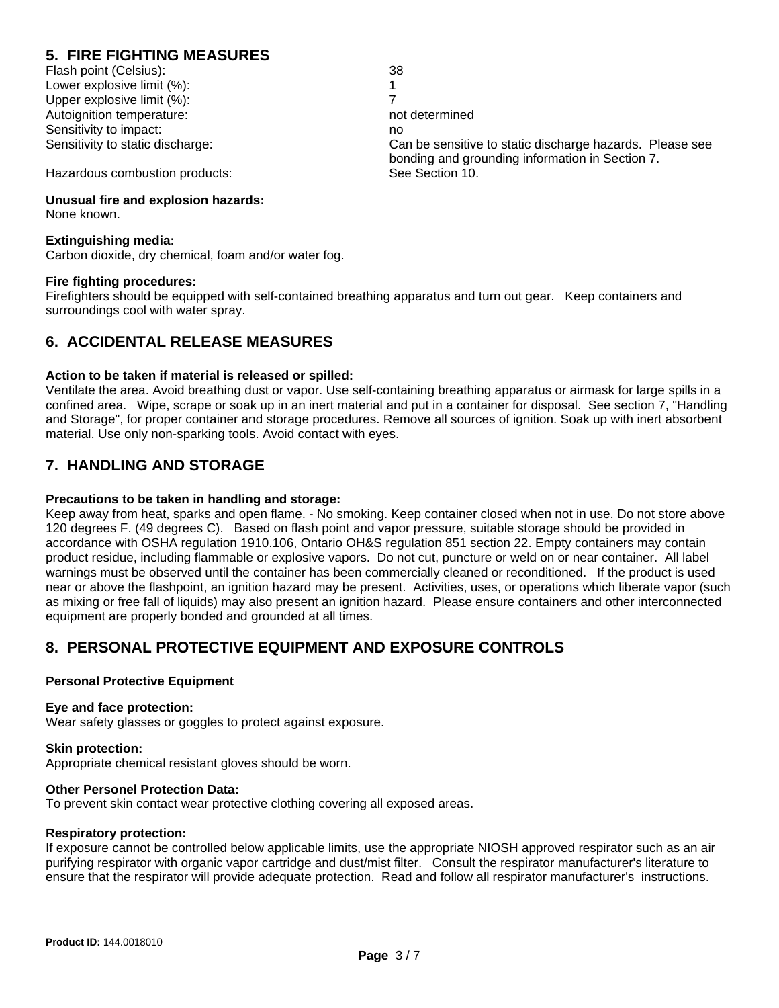### **5. FIRE FIGHTING MEASURES**

Flash point (Celsius): 38 Lower explosive limit (%): 1 Upper explosive limit (%): 7 Autoignition temperature: not determined Sensitivity to impact: no

Sensitivity to static discharge: Can be sensitive to static discharge hazards. Please see bonding and grounding information in Section 7.

Hazardous combustion products: See Section 10.

#### **Unusual fire and explosion hazards:**

None known.

#### **Extinguishing media:**

Carbon dioxide, dry chemical, foam and/or water fog.

#### **Fire fighting procedures:**

Firefighters should be equipped with self-contained breathing apparatus and turn out gear. Keep containers and surroundings cool with water spray.

#### **6. ACCIDENTAL RELEASE MEASURES**

#### **Action to be taken if material is released or spilled:**

Ventilate the area. Avoid breathing dust or vapor. Use self-containing breathing apparatus or airmask for large spills in a confined area. Wipe, scrape or soak up in an inert material and put in a container for disposal. See section 7, "Handling and Storage", for proper container and storage procedures. Remove all sources of ignition. Soak up with inert absorbent material. Use only non-sparking tools. Avoid contact with eyes.

#### **7. HANDLING AND STORAGE**

#### **Precautions to be taken in handling and storage:**

Keep away from heat, sparks and open flame. - No smoking. Keep container closed when not in use. Do not store above 120 degrees F. (49 degrees C). Based on flash point and vapor pressure, suitable storage should be provided in accordance with OSHA regulation 1910.106, Ontario OH&S regulation 851 section 22. Empty containers may contain product residue, including flammable or explosive vapors. Do not cut, puncture or weld on or near container. All label warnings must be observed until the container has been commercially cleaned or reconditioned. If the product is used near or above the flashpoint, an ignition hazard may be present. Activities, uses, or operations which liberate vapor (such as mixing or free fall of liquids) may also present an ignition hazard. Please ensure containers and other interconnected equipment are properly bonded and grounded at all times.

#### **8. PERSONAL PROTECTIVE EQUIPMENT AND EXPOSURE CONTROLS**

#### **Personal Protective Equipment**

#### **Eye and face protection:**

Wear safety glasses or goggles to protect against exposure.

#### **Skin protection:**

Appropriate chemical resistant gloves should be worn.

#### **Other Personel Protection Data:**

To prevent skin contact wear protective clothing covering all exposed areas.

#### **Respiratory protection:**

If exposure cannot be controlled below applicable limits, use the appropriate NIOSH approved respirator such as an air purifying respirator with organic vapor cartridge and dust/mist filter. Consult the respirator manufacturer's literature to ensure that the respirator will provide adequate protection. Read and follow all respirator manufacturer's instructions.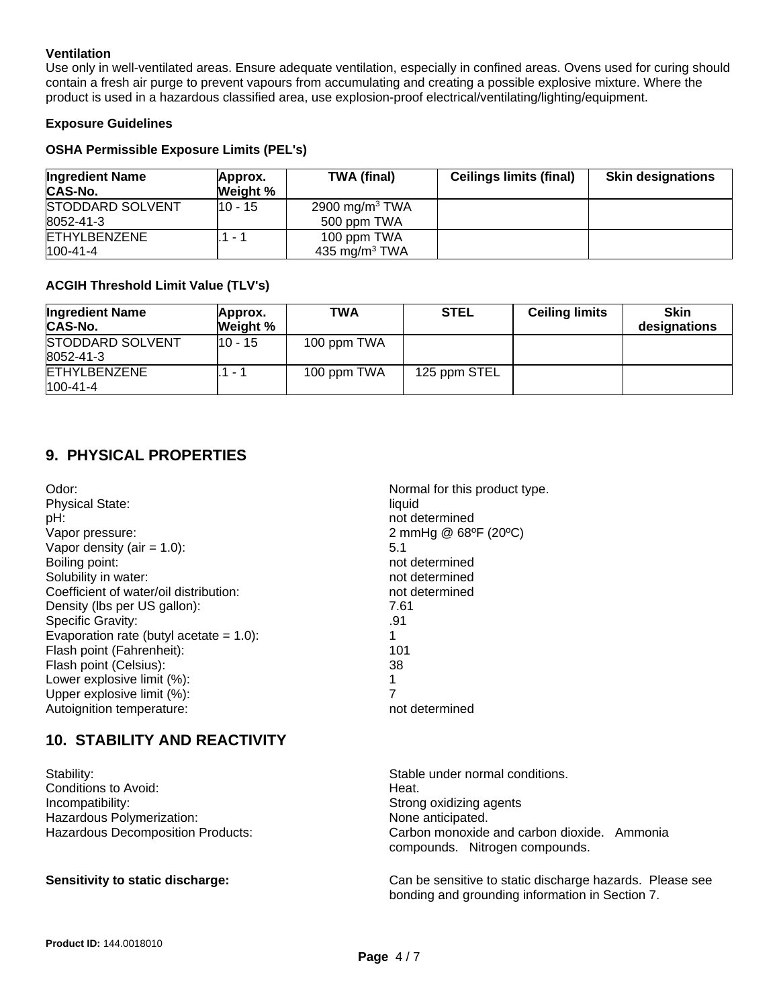#### **Ventilation**

Use only in well-ventilated areas. Ensure adequate ventilation, especially in confined areas. Ovens used for curing should contain a fresh air purge to prevent vapours from accumulating and creating a possible explosive mixture. Where the product is used in a hazardous classified area, use explosion-proof electrical/ventilating/lighting/equipment.

#### **Exposure Guidelines**

#### **OSHA Permissible Exposure Limits (PEL's)**

| <b>Ingredient Name</b><br><b>CAS-No.</b> | Approx.<br>Weight % | <b>TWA (final)</b> | <b>Ceilings limits (final)</b> | <b>Skin designations</b> |
|------------------------------------------|---------------------|--------------------|--------------------------------|--------------------------|
| <b>STODDARD SOLVENT</b>                  | l10 - 15            | 2900 mg/m $3$ TWA  |                                |                          |
| 8052-41-3                                |                     | 500 ppm TWA        |                                |                          |
| <b>ETHYLBENZENE</b>                      | . – 1               | 100 ppm TWA        |                                |                          |
| $100 - 41 - 4$                           |                     | 435 mg/m $3$ TWA   |                                |                          |

#### **ACGIH Threshold Limit Value (TLV's)**

| <b>Ingredient Name</b><br>CAS-No.     | Approx.<br>Weight % | <b>TWA</b>  | <b>STEL</b>  | <b>Ceiling limits</b> | <b>Skin</b><br>designations |
|---------------------------------------|---------------------|-------------|--------------|-----------------------|-----------------------------|
| <b>STODDARD SOLVENT</b><br>8052-41-3  | 10 - 15             | 100 ppm TWA |              |                       |                             |
| <b>ETHYLBENZENE</b><br>$100 - 41 - 4$ | $\sim$              | 100 ppm TWA | 125 ppm STEL |                       |                             |

#### **9. PHYSICAL PROPERTIES**

| Odor:<br><b>Physical State:</b><br>pH:<br>Vapor pressure:<br>Vapor density (air = $1.0$ ):<br>Boiling point:<br>Solubility in water:<br>Coefficient of water/oil distribution:<br>Density (lbs per US gallon):<br>Specific Gravity:<br>Evaporation rate (butyl acetate $= 1.0$ ): | Normal for this product type.<br>liquid<br>not determined<br>2 mmHg @ 68°F (20°C)<br>5.1<br>not determined<br>not determined<br>not determined<br>7.61<br>.91 |
|-----------------------------------------------------------------------------------------------------------------------------------------------------------------------------------------------------------------------------------------------------------------------------------|---------------------------------------------------------------------------------------------------------------------------------------------------------------|
|                                                                                                                                                                                                                                                                                   |                                                                                                                                                               |
|                                                                                                                                                                                                                                                                                   |                                                                                                                                                               |
| Flash point (Fahrenheit):                                                                                                                                                                                                                                                         | 101                                                                                                                                                           |
| Flash point (Celsius):                                                                                                                                                                                                                                                            | 38                                                                                                                                                            |
| Lower explosive limit (%):                                                                                                                                                                                                                                                        | 1                                                                                                                                                             |
| Upper explosive limit (%):                                                                                                                                                                                                                                                        | 7                                                                                                                                                             |
| Autoignition temperature:                                                                                                                                                                                                                                                         | not determined                                                                                                                                                |

#### **10. STABILITY AND REACTIVITY**

| Stability:                        | Stable under normal conditions.                                               |
|-----------------------------------|-------------------------------------------------------------------------------|
| Conditions to Avoid:              | Heat.                                                                         |
| Incompatibility:                  | Strong oxidizing agents                                                       |
| Hazardous Polymerization:         | None anticipated.                                                             |
| Hazardous Decomposition Products: | Carbon monoxide and carbon dioxide. Ammonia<br>compounds. Nitrogen compounds. |
| Concitivity to otatio dicohorage  | Can be sensitive to static discharge bazards. Please                          |

#### **Sensitivity to static discharge:** Can be sensitive to static discharge hazards. Please see bonding and grounding information in Section 7.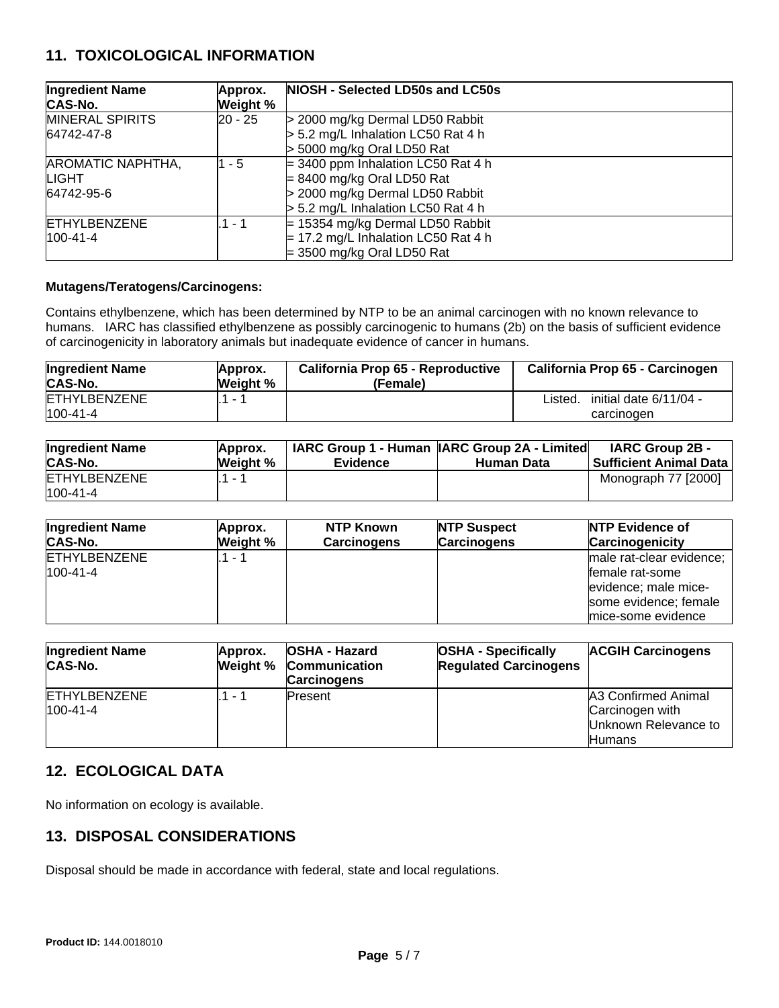#### **11. TOXICOLOGICAL INFORMATION**

| <b>Ingredient Name</b><br>CAS-No. | Approx.<br>Weight % | NIOSH - Selected LD50s and LC50s      |
|-----------------------------------|---------------------|---------------------------------------|
| <b>MINERAL SPIRITS</b>            | l20 - 25            | > 2000 mg/kg Dermal LD50 Rabbit       |
| 64742-47-8                        |                     | $> 5.2$ mg/L Inhalation LC50 Rat 4 h  |
|                                   |                     | $>$ 5000 mg/kg Oral LD50 Rat          |
| AROMATIC NAPHTHA,                 | $1 - 5$             | $=$ 3400 ppm Inhalation LC50 Rat 4 h  |
| <b>LIGHT</b>                      |                     | $= 8400$ mg/kg Oral LD50 Rat          |
| 64742-95-6                        |                     | > 2000 mg/kg Dermal LD50 Rabbit       |
|                                   |                     | > 5.2 mg/L Inhalation LC50 Rat 4 h    |
| <b>ETHYLBENZENE</b>               | $.1 - 1$            | $= 15354$ mg/kg Dermal LD50 Rabbit    |
| $100 - 41 - 4$                    |                     | $= 17.2$ mg/L Inhalation LC50 Rat 4 h |
|                                   |                     | $=$ 3500 mg/kg Oral LD50 Rat          |

#### **Mutagens/Teratogens/Carcinogens:**

Contains ethylbenzene, which has been determined by NTP to be an animal carcinogen with no known relevance to humans. IARC has classified ethylbenzene as possibly carcinogenic to humans (2b) on the basis of sufficient evidence of carcinogenicity in laboratory animals but inadequate evidence of cancer in humans.

| <b>Ingredient Name</b>                | Approx.         | California Prop 65 - Reproductive | California Prop 65 - Carcinogen                 |
|---------------------------------------|-----------------|-----------------------------------|-------------------------------------------------|
| CAS-No.                               | <b>Weight %</b> | (Female)                          |                                                 |
| <b>ETHYLBENZENE</b><br>$100 - 41 - 4$ | 1.              |                                   | initial date 6/11/04 -<br>Listed.<br>carcinogen |

| <b>Ingredient Name</b>                | Approx.  | <b>Evidence</b> | <b>IARC Group 1 - Human IARC Group 2A - Limited</b> | <b>IARC Group 2B -</b>        |
|---------------------------------------|----------|-----------------|-----------------------------------------------------|-------------------------------|
| CAS-No.                               | Weight % |                 | <b>Human Data</b>                                   | <b>Sufficient Animal Data</b> |
| <b>ETHYLBENZENE</b><br>$100 - 41 - 4$ | 1 - 1    |                 |                                                     | Monograph 77 [2000]           |

| <b>Ingredient Name</b>         | Approx.  | NTP Known          | <b>NTP Suspect</b> | <b>INTP Evidence of</b>                                                                                            |
|--------------------------------|----------|--------------------|--------------------|--------------------------------------------------------------------------------------------------------------------|
| <b>CAS-No.</b>                 | Weight % | <b>Carcinogens</b> | <b>Carcinogens</b> | Carcinogenicity                                                                                                    |
| ETHYLBENZENE<br>$100 - 41 - 4$ | - 1      |                    |                    | male rat-clear evidence;<br>female rat-some<br>evidence; male mice-<br>some evidence; female<br>mice-some evidence |

| <b>Ingredient Name</b><br><b>CAS-No.</b> | Approx.                  | <b>OSHA - Hazard</b><br><b>Weight % Communication</b><br><b>Carcinogens</b> | <b>OSHA - Specifically</b><br><b>Regulated Carcinogens</b> | <b>ACGIH Carcinogens</b>                                                        |
|------------------------------------------|--------------------------|-----------------------------------------------------------------------------|------------------------------------------------------------|---------------------------------------------------------------------------------|
| <b>ETHYLBENZENE</b><br>$100 - 41 - 4$    | $\overline{\phantom{a}}$ | <b>Present</b>                                                              |                                                            | A3 Confirmed Animal<br>Carcinogen with<br>Unknown Relevance to<br><b>Humans</b> |

#### **12. ECOLOGICAL DATA**

No information on ecology is available.

#### **13. DISPOSAL CONSIDERATIONS**

Disposal should be made in accordance with federal, state and local regulations.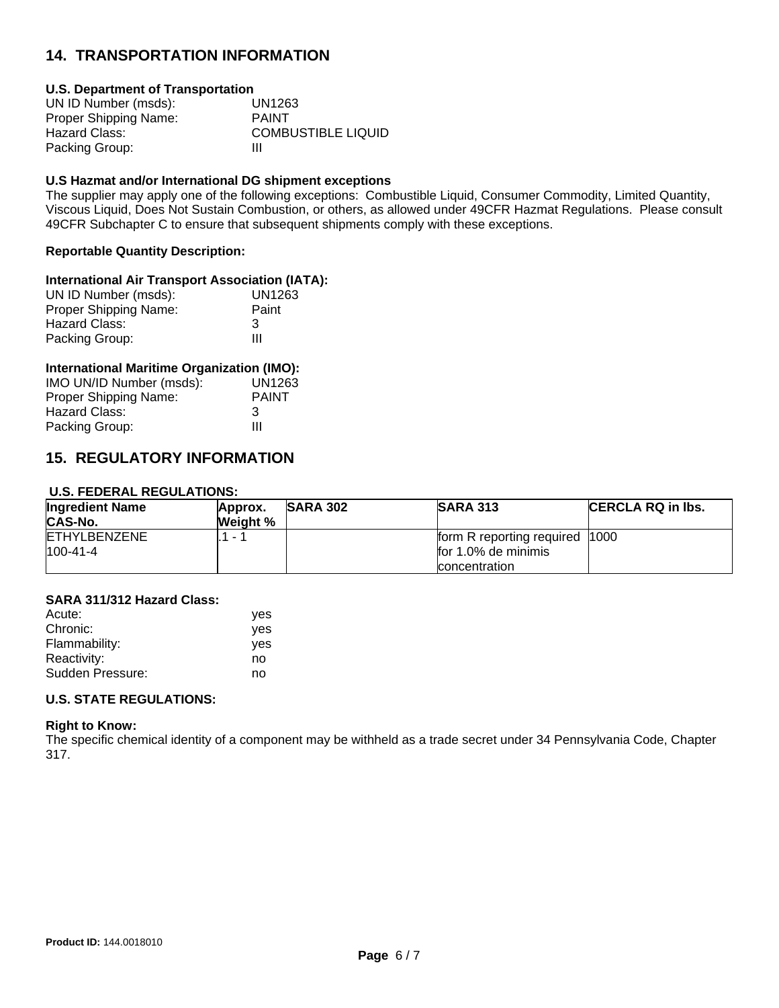#### **14. TRANSPORTATION INFORMATION**

#### **U.S. Department of Transportation**

| UN ID Number (msds):  | UN1263                    |
|-----------------------|---------------------------|
| Proper Shipping Name: | <b>PAINT</b>              |
| Hazard Class:         | <b>COMBUSTIBLE LIQUID</b> |
| Packing Group:        | Ш                         |

#### **U.S Hazmat and/or International DG shipment exceptions**

The supplier may apply one of the following exceptions: Combustible Liquid, Consumer Commodity, Limited Quantity, Viscous Liquid, Does Not Sustain Combustion, or others, as allowed under 49CFR Hazmat Regulations. Please consult 49CFR Subchapter C to ensure that subsequent shipments comply with these exceptions.

#### **Reportable Quantity Description:**

#### **International Air Transport Association (IATA):**

| UN1263 |
|--------|
| Paint  |
| 3      |
| Ш      |
|        |

#### **International Maritime Organization (IMO):**

| UN1263       |
|--------------|
| <b>PAINT</b> |
| 3            |
| Ш            |
|              |

#### **15. REGULATORY INFORMATION**

#### **U.S. FEDERAL REGULATIONS:**

| <b>Ingredient Name</b> | Approx.  | <b>SARA 302</b> | <b>SARA 313</b>                | <b>CERCLA RQ in Ibs.</b> |
|------------------------|----------|-----------------|--------------------------------|--------------------------|
| CAS-No.                | Weight % |                 |                                |                          |
| <b>ETHYLBENZENE</b>    | $1 - 1$  |                 | form R reporting required 1000 |                          |
| $100 - 41 - 4$         |          |                 | for 1.0% de minimis            |                          |
|                        |          |                 | concentration                  |                          |

#### **SARA 311/312 Hazard Class:**

| Acute:           | ves |
|------------------|-----|
| Chronic:         | yes |
| Flammability:    | yes |
| Reactivity:      | no  |
| Sudden Pressure: | no  |

#### **U.S. STATE REGULATIONS:**

#### **Right to Know:**

The specific chemical identity of a component may be withheld as a trade secret under 34 Pennsylvania Code, Chapter 317.